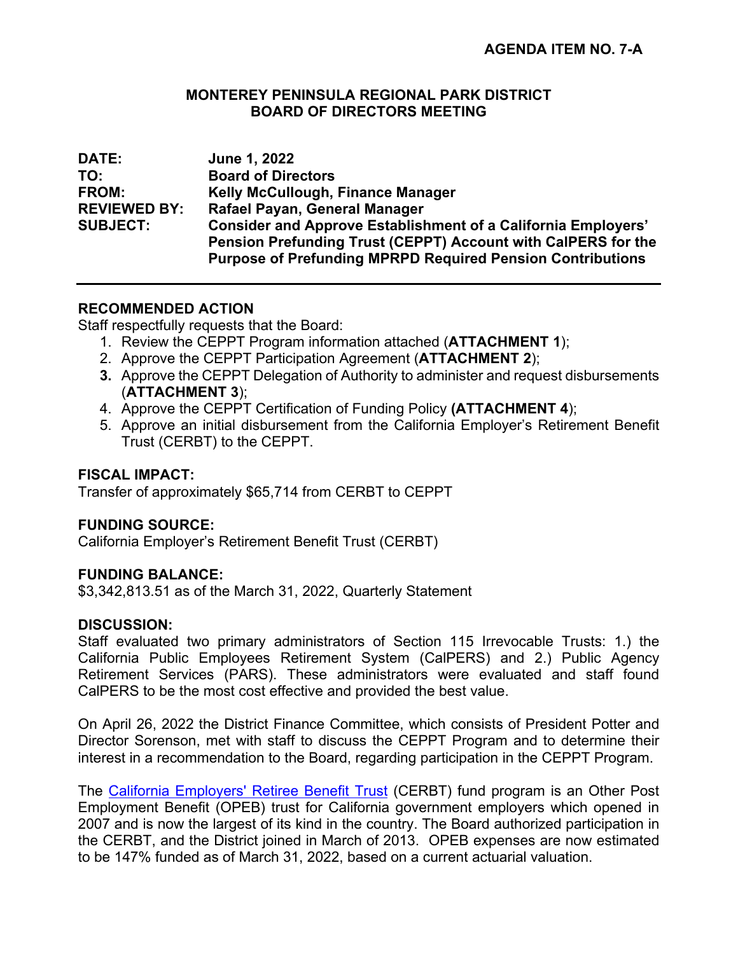#### **MONTEREY PENINSULA REGIONAL PARK DISTRICT BOARD OF DIRECTORS MEETING**

| <b>DATE:</b>        | June 1, 2022                                                         |
|---------------------|----------------------------------------------------------------------|
| TO:                 | <b>Board of Directors</b>                                            |
| <b>FROM:</b>        | Kelly McCullough, Finance Manager                                    |
| <b>REVIEWED BY:</b> | Rafael Payan, General Manager                                        |
| <b>SUBJECT:</b>     | <b>Consider and Approve Establishment of a California Employers'</b> |
|                     | Pension Prefunding Trust (CEPPT) Account with CalPERS for the        |
|                     | <b>Purpose of Prefunding MPRPD Required Pension Contributions</b>    |

## **RECOMMENDED ACTION**

Staff respectfully requests that the Board:

- 1. Review the CEPPT Program information attached (**ATTACHMENT 1**);
- 2. Approve the CEPPT Participation Agreement (**ATTACHMENT 2**);
- **3.** Approve the CEPPT Delegation of Authority to administer and request disbursements (**ATTACHMENT 3**);
- 4. Approve the CEPPT Certification of Funding Policy **(ATTACHMENT 4**);
- 5. Approve an initial disbursement from the California Employer's Retirement Benefit Trust (CERBT) to the CEPPT.

### **FISCAL IMPACT:**

Transfer of approximately \$65,714 from CERBT to CEPPT

## **FUNDING SOURCE:**

California Employer's Retirement Benefit Trust (CERBT)

### **FUNDING BALANCE:**

\$3,342,813.51 as of the March 31, 2022, Quarterly Statement

### **DISCUSSION:**

Staff evaluated two primary administrators of Section 115 Irrevocable Trusts: 1.) the California Public Employees Retirement System (CalPERS) and 2.) Public Agency Retirement Services (PARS). These administrators were evaluated and staff found CalPERS to be the most cost effective and provided the best value.

On April 26, 2022 the District Finance Committee, which consists of President Potter and Director Sorenson, met with staff to discuss the CEPPT Program and to determine their interest in a recommendation to the Board, regarding participation in the CEPPT Program.

The [California Employers' Retiree Benefit Trust](https://nam03.safelinks.protection.outlook.com/?url=https%3A%2F%2Fwww.calpers.ca.gov%2Fpage%2Femployers%2Fbenefit-programs%2Fcerbt&data=01%7C01%7CJasper.Jacobs%40calpers.ca.gov%7C8f8e46e5a82448db09ca08d7dac4477a%7Cbeec1a79666c427b859c00febbe93470%7C0&sdata=zqdwKZ4nf5MwFkmE%2F8GaRDN5zR6Nnr8gtQrE%2Bx4REk0%3D&reserved=0) (CERBT) fund program is an Other Post Employment Benefit (OPEB) trust for California government employers which opened in 2007 and is now the largest of its kind in the country. The Board authorized participation in the CERBT, and the District joined in March of 2013. OPEB expenses are now estimated to be 147% funded as of March 31, 2022, based on a current actuarial valuation.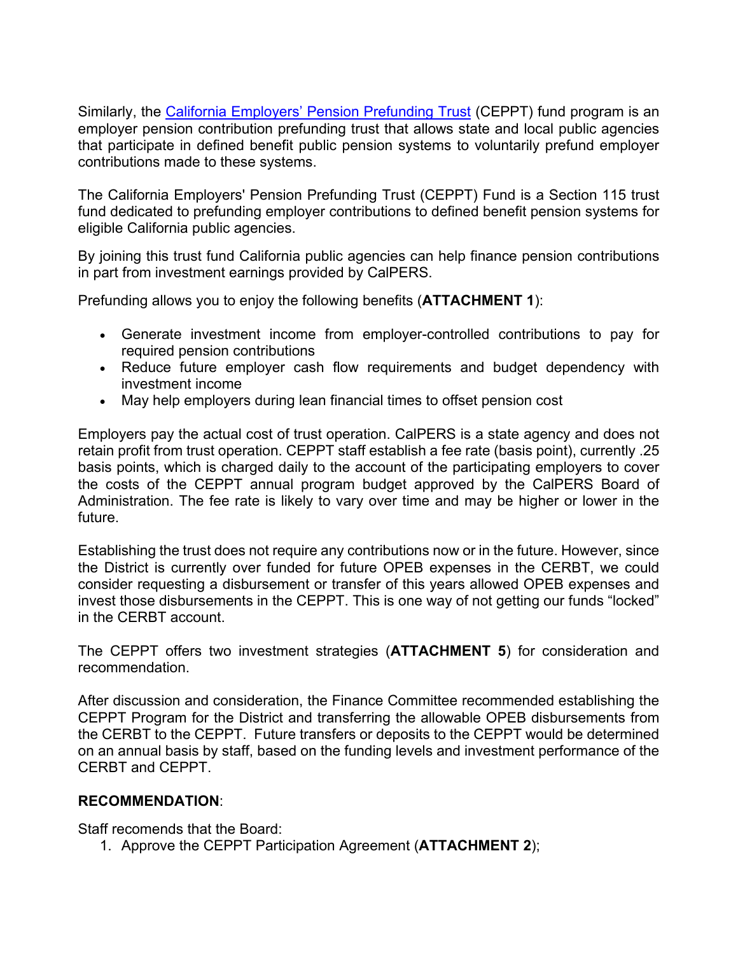Similarly, the [California Employers' Pension Prefunding Trust](https://nam03.safelinks.protection.outlook.com/?url=https%3A%2F%2Fwww.calpers.ca.gov%2Fpage%2Femployers%2Fbenefit-programs%2Fceppt&data=01%7C01%7CJasper.Jacobs%40calpers.ca.gov%7C8f8e46e5a82448db09ca08d7dac4477a%7Cbeec1a79666c427b859c00febbe93470%7C0&sdata=NAuVXPO9DYrR0ohfsDp988pX%2FEmxGyQI3fQo0N0wXEQ%3D&reserved=0) (CEPPT) fund program is an employer pension contribution prefunding trust that allows state and local public agencies that participate in defined benefit public pension systems to voluntarily prefund employer contributions made to these systems.

The California Employers' Pension Prefunding Trust (CEPPT) Fund is a Section 115 trust fund dedicated to prefunding employer contributions to defined benefit pension systems for eligible California public agencies.

By joining this trust fund California public agencies can help finance pension contributions in part from investment earnings provided by CalPERS.

Prefunding allows you to enjoy the following benefits (**ATTACHMENT 1**):

- Generate investment income from employer-controlled contributions to pay for required pension contributions
- Reduce future employer cash flow requirements and budget dependency with investment income
- May help employers during lean financial times to offset pension cost

Employers pay the actual cost of trust operation. CalPERS is a state agency and does not retain profit from trust operation. CEPPT staff establish a fee rate (basis point), currently .25 basis points, which is charged daily to the account of the participating employers to cover the costs of the CEPPT annual program budget approved by the CalPERS Board of Administration. The fee rate is likely to vary over time and may be higher or lower in the future.

Establishing the trust does not require any contributions now or in the future. However, since the District is currently over funded for future OPEB expenses in the CERBT, we could consider requesting a disbursement or transfer of this years allowed OPEB expenses and invest those disbursements in the CEPPT. This is one way of not getting our funds "locked" in the CERBT account.

The CEPPT offers two investment strategies (**ATTACHMENT 5**) for consideration and recommendation.

After discussion and consideration, the Finance Committee recommended establishing the CEPPT Program for the District and transferring the allowable OPEB disbursements from the CERBT to the CEPPT. Future transfers or deposits to the CEPPT would be determined on an annual basis by staff, based on the funding levels and investment performance of the CERBT and CEPPT.

### **RECOMMENDATION**:

Staff recomends that the Board:

1. Approve the CEPPT Participation Agreement (**ATTACHMENT 2**);